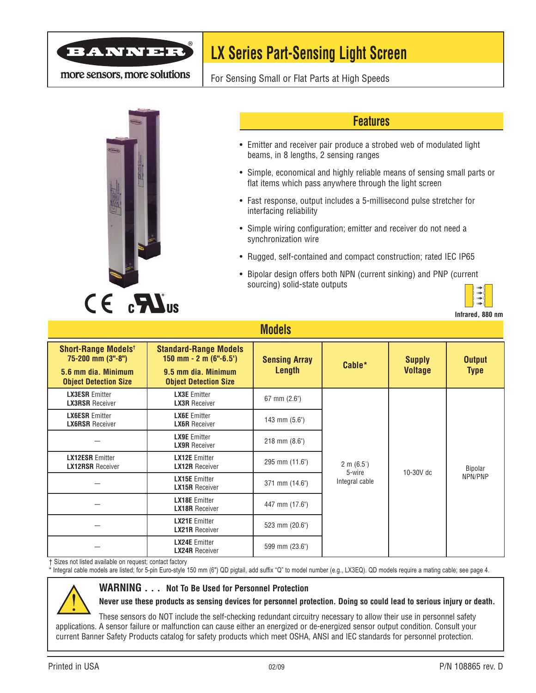

more sensors, more solutions

# **LX Series Part-Sensing Light Screen**

For Sensing Small or Flat Parts at High Speeds



### **Features**

- Emitter and receiver pair produce a strobed web of modulated light beams, in 8 lengths, 2 sensing ranges
- Simple, economical and highly reliable means of sensing small parts or flat items which pass anywhere through the light screen
- Fast response, output includes a 5-millisecond pulse stretcher for interfacing reliability
- Simple wiring configuration; emitter and receiver do not need a synchronization wire
- Rugged, self-contained and compact construction; rated IEC IP65
- Bipolar design offers both NPN (current sinking) and PNP (current sourcing) solid-state outputs



**Infrared, 880 nm**

| <u>IVIUUGIJ</u>                                                                                                   |                                                                                                                    |                                |                          |                                 |                              |  |  |  |
|-------------------------------------------------------------------------------------------------------------------|--------------------------------------------------------------------------------------------------------------------|--------------------------------|--------------------------|---------------------------------|------------------------------|--|--|--|
| <b>Short-Range Models<sup>t</sup></b><br>75-200 mm (3"-8")<br>5.6 mm dia. Minimum<br><b>Object Detection Size</b> | <b>Standard-Range Models</b><br>150 mm $- 2$ m (6" $-6.5$ )<br>9.5 mm dia. Minimum<br><b>Object Detection Size</b> | <b>Sensing Array</b><br>Length | Cable*                   | <b>Supply</b><br><b>Voltage</b> | <b>Output</b><br><b>Type</b> |  |  |  |
| <b>LX3ESR Emitter</b><br><b>LX3RSR</b> Receiver                                                                   | <b>LX3E</b> Emitter<br><b>LX3R</b> Receiver                                                                        | $67$ mm $(2.6)$                |                          | 10-30V dc                       | Bipolar<br>NPN/PNP           |  |  |  |
| <b>LX6ESR Emitter</b><br><b>LX6RSR</b> Receiver                                                                   | <b>LX6E</b> Emitter<br><b>LX6R</b> Receiver                                                                        | 143 mm (5.6")                  |                          |                                 |                              |  |  |  |
|                                                                                                                   | <b>LX9E</b> Emitter<br><b>LX9R</b> Receiver                                                                        | $218$ mm $(8.6)$               |                          |                                 |                              |  |  |  |
| <b>LX12ESR Emitter</b><br><b>LX12RSR</b> Receiver                                                                 | <b>LX12E</b> Emitter<br><b>LX12R</b> Receiver                                                                      | 295 mm (11.6")                 | $2 \text{ m } (6.5')$    |                                 |                              |  |  |  |
|                                                                                                                   | <b>LX15E</b> Emitter<br><b>LX15R Receiver</b>                                                                      | 371 mm (14.6")                 | 5-wire<br>Integral cable |                                 |                              |  |  |  |
|                                                                                                                   | <b>LX18E</b> Emitter<br><b>LX18R Receiver</b>                                                                      | 447 mm (17.6")                 |                          |                                 |                              |  |  |  |
|                                                                                                                   | <b>LX21E</b> Emitter<br><b>LX21R Receiver</b>                                                                      | 523 mm (20.6")                 |                          |                                 |                              |  |  |  |
|                                                                                                                   | <b>LX24E</b> Emitter<br><b>LX24R Receiver</b>                                                                      | 599 mm (23.6")                 |                          |                                 |                              |  |  |  |

**Models**

† Sizes not listed available on request; contact factory

\* Integral cable models are listed; for 5-pin Euro-style 150 mm (6") QD pigtail, add suffix "Q" to model number (e.g., LX3EQ). QD models require a mating cable; see page 4.



#### **WARNING . . . Not To Be Used for Personnel Protection**

**Never use these products as sensing devices for personnel protection. Doing so could lead to serious injury or death.**

These sensors do NOT include the self-checking redundant circuitry necessary to allow their use in personnel safety applications. A sensor failure or malfunction can cause either an energized or de-energized sensor output condition. Consult your current Banner Safety Products catalog for safety products which meet OSHA, ANSI and IEC standards for personnel protection.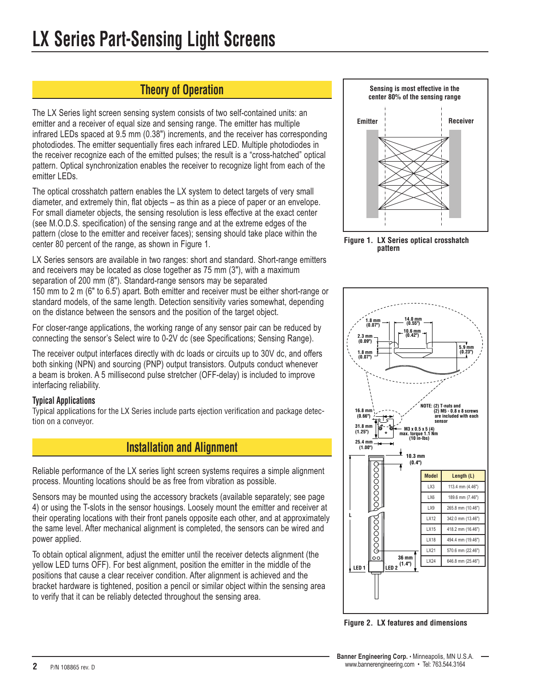## **Theory of Operation**

The LX Series light screen sensing system consists of two self-contained units: an emitter and a receiver of equal size and sensing range. The emitter has multiple infrared LEDs spaced at 9.5 mm (0.38") increments, and the receiver has corresponding photodiodes. The emitter sequentially fires each infrared LED. Multiple photodiodes in the receiver recognize each of the emitted pulses; the result is a "cross-hatched" optical pattern. Optical synchronization enables the receiver to recognize light from each of the emitter LEDs.

The optical crosshatch pattern enables the LX system to detect targets of very small diameter, and extremely thin, flat objects – as thin as a piece of paper or an envelope. For small diameter objects, the sensing resolution is less effective at the exact center (see M.O.D.S. specification) of the sensing range and at the extreme edges of the pattern (close to the emitter and receiver faces); sensing should take place within the center 80 percent of the range, as shown in Figure 1.

LX Series sensors are available in two ranges: short and standard. Short-range emitters and receivers may be located as close together as 75 mm (3"), with a maximum separation of 200 mm (8"). Standard-range sensors may be separated 150 mm to 2 m (6" to 6.5') apart. Both emitter and receiver must be either short-range or standard models, of the same length. Detection sensitivity varies somewhat, depending on the distance between the sensors and the position of the target object.

For closer-range applications, the working range of any sensor pair can be reduced by connecting the sensor's Select wire to 0-2V dc (see Specifications; Sensing Range).

The receiver output interfaces directly with dc loads or circuits up to 30V dc, and offers both sinking (NPN) and sourcing (PNP) output transistors. Outputs conduct whenever a beam is broken. A 5 millisecond pulse stretcher (OFF-delay) is included to improve interfacing reliability.

#### **Typical Applications**

Typical applications for the LX Series include parts ejection verification and package detection on a conveyor.

## **Installation and Alignment**

Reliable performance of the LX series light screen systems requires a simple alignment process. Mounting locations should be as free from vibration as possible.

Sensors may be mounted using the accessory brackets (available separately; see page 4) or using the T-slots in the sensor housings. Loosely mount the emitter and receiver at their operating locations with their front panels opposite each other, and at approximately the same level. After mechanical alignment is completed, the sensors can be wired and power applied.

To obtain optical alignment, adjust the emitter until the receiver detects alignment (the yellow LED turns OFF). For best alignment, position the emitter in the middle of the positions that cause a clear receiver condition. After alignment is achieved and the bracket hardware is tightened, position a pencil or similar object within the sensing area to verify that it can be reliably detected throughout the sensing area.







**Figure 2. LX features and dimensions**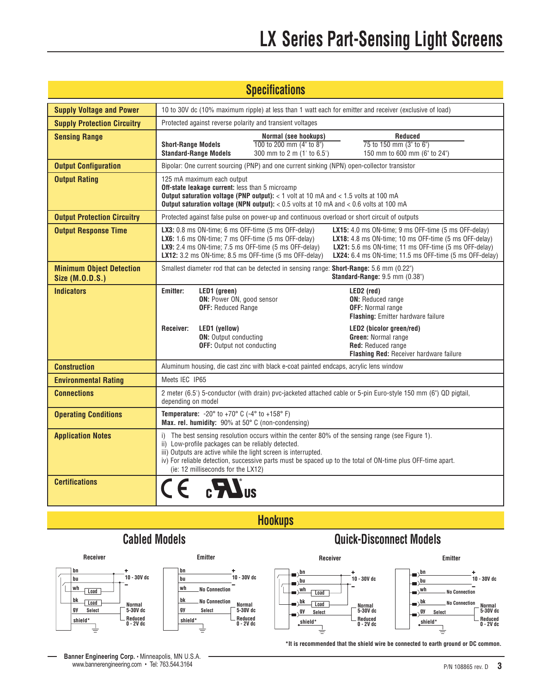| <b>Specifications</b>                              |                                                                                                                                                                                                                                                                                                                                                                                                                                                                                                                                                   |  |  |  |  |  |  |
|----------------------------------------------------|---------------------------------------------------------------------------------------------------------------------------------------------------------------------------------------------------------------------------------------------------------------------------------------------------------------------------------------------------------------------------------------------------------------------------------------------------------------------------------------------------------------------------------------------------|--|--|--|--|--|--|
| <b>Supply Voltage and Power</b>                    | 10 to 30V dc (10% maximum ripple) at less than 1 watt each for emitter and receiver (exclusive of load)                                                                                                                                                                                                                                                                                                                                                                                                                                           |  |  |  |  |  |  |
| <b>Supply Protection Circuitry</b>                 | Protected against reverse polarity and transient voltages                                                                                                                                                                                                                                                                                                                                                                                                                                                                                         |  |  |  |  |  |  |
| <b>Sensing Range</b>                               | <b>Reduced</b><br>Normal (see hookups)<br>75 to 150 mm (3" to 6")<br>100 to 200 mm (4" to 8")<br><b>Short-Range Models</b><br><b>Standard-Range Models</b><br>150 mm to 600 mm (6" to 24")<br>300 mm to 2 m (1' to 6.5')                                                                                                                                                                                                                                                                                                                          |  |  |  |  |  |  |
| <b>Output Configuration</b>                        | Bipolar: One current sourcing (PNP) and one current sinking (NPN) open-collector transistor                                                                                                                                                                                                                                                                                                                                                                                                                                                       |  |  |  |  |  |  |
| <b>Output Rating</b>                               | 125 mA maximum each output<br><b>Off-state leakage current:</b> less than 5 microamp<br><b>Output saturation voltage (PNP output):</b> $<$ 1 volt at 10 mA and $<$ 1.5 volts at 100 mA<br>Output saturation voltage (NPN output): $< 0.5$ volts at 10 mA and $< 0.6$ volts at 100 mA                                                                                                                                                                                                                                                              |  |  |  |  |  |  |
| <b>Output Protection Circuitry</b>                 | Protected against false pulse on power-up and continuous overload or short circuit of outputs                                                                                                                                                                                                                                                                                                                                                                                                                                                     |  |  |  |  |  |  |
| <b>Output Response Time</b>                        | <b>LX3:</b> 0.8 ms ON-time; 6 ms OFF-time (5 ms OFF-delay)<br><b>LX15:</b> 4.0 ms ON-time; 9 ms OFF-time $(5 \text{ ms }$ OFF-delay)<br><b>LX6:</b> 1.6 ms ON-time; 7 ms OFF-time $(5 \text{ ms }$ OFF-delay)<br><b>LX18:</b> 4.8 ms ON-time; 10 ms OFF-time $(5 \text{ ms }$ OFF-delay)<br>LX21: 5.6 ms ON-time; 11 ms OFF-time (5 ms OFF-delay)<br><b>LX9:</b> 2.4 ms ON-time; 7.5 ms OFF-time $(5 \text{ ms }$ OFF-delay)<br>LX12: 3.2 ms ON-time; 8.5 ms OFF-time (5 ms OFF-delay)<br>LX24: 6.4 ms ON-time; 11.5 ms OFF-time (5 ms OFF-delay) |  |  |  |  |  |  |
| <b>Minimum Object Detection</b><br>Size (M.O.D.S.) | Smallest diameter rod that can be detected in sensing range: Short-Range: 5.6 mm (0.22")<br>Standard-Range: 9.5 mm (0.38")                                                                                                                                                                                                                                                                                                                                                                                                                        |  |  |  |  |  |  |
| <b>Indicators</b>                                  | LED1 (green)<br>Emitter:<br>LED2 (red)<br>ON: Power ON, good sensor<br><b>ON:</b> Reduced range<br><b>OFF: Reduced Range</b><br><b>OFF:</b> Normal range<br><b>Flashing:</b> Emitter hardware failure                                                                                                                                                                                                                                                                                                                                             |  |  |  |  |  |  |
|                                                    | LED1 (yellow)<br>LED2 (bicolor green/red)<br>Receiver:<br><b>ON:</b> Output conducting<br>Green: Normal range<br><b>OFF:</b> Output not conducting<br>Red: Reduced range<br><b>Flashing Red: Receiver hardware failure</b>                                                                                                                                                                                                                                                                                                                        |  |  |  |  |  |  |
| <b>Construction</b>                                | Aluminum housing, die cast zinc with black e-coat painted endcaps, acrylic lens window                                                                                                                                                                                                                                                                                                                                                                                                                                                            |  |  |  |  |  |  |
| <b>Environmental Rating</b>                        | Meets IEC IP65                                                                                                                                                                                                                                                                                                                                                                                                                                                                                                                                    |  |  |  |  |  |  |
| <b>Connections</b>                                 | 2 meter (6.5') 5-conductor (with drain) pvc-jacketed attached cable or 5-pin Euro-style 150 mm (6") QD pigtail,<br>depending on model                                                                                                                                                                                                                                                                                                                                                                                                             |  |  |  |  |  |  |
| <b>Operating Conditions</b>                        | <b>Temperature:</b> $-20^{\circ}$ to $+70^{\circ}$ C ( $-4^{\circ}$ to $+158^{\circ}$ F)<br>Max. rel. humidity: 90% at 50° C (non-condensing)                                                                                                                                                                                                                                                                                                                                                                                                     |  |  |  |  |  |  |
| <b>Application Notes</b>                           | i) The best sensing resolution occurs within the center 80% of the sensing range (see Figure 1).<br>ii) Low-profile packages can be reliably detected.<br>iii) Outputs are active while the light screen is interrupted.<br>iv) For reliable detection, successive parts must be spaced up to the total of ON-time plus OFF-time apart.<br>(ie: 12 milliseconds for the LX12)                                                                                                                                                                     |  |  |  |  |  |  |
| <b>Certifications</b>                              | $CE$ $2\pi$                                                                                                                                                                                                                                                                                                                                                                                                                                                                                                                                       |  |  |  |  |  |  |

**Hookups**





# **Cabled Models Quick-Disconnect Models**



**\*It is recommended that the shield wire be connected to earth ground or DC common.**

**Banner Engineering Corp.** • Minneapolis, MN U.S.A. www.bannerengineering.com • Tel: 763.544.3164